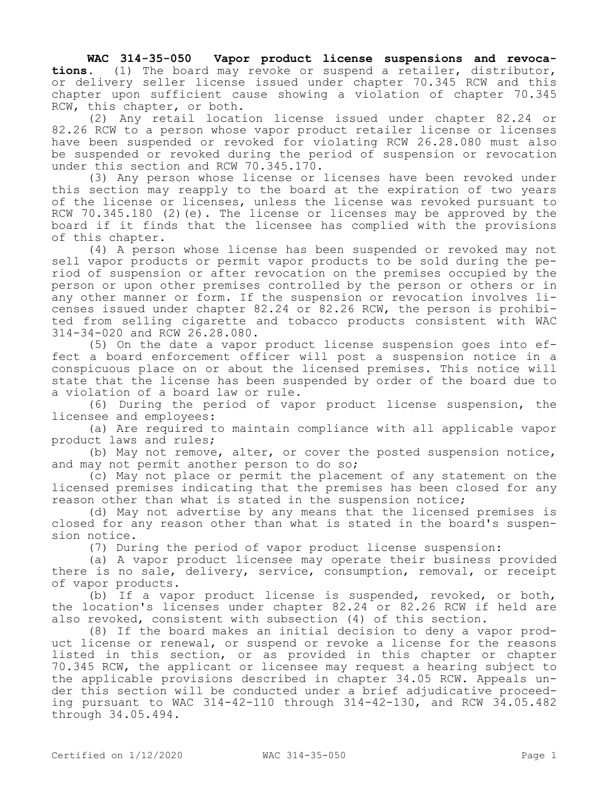**WAC 314-35-050 Vapor product license suspensions and revocations.** (1) The board may revoke or suspend a retailer, distributor, or delivery seller license issued under chapter 70.345 RCW and this chapter upon sufficient cause showing a violation of chapter 70.345 RCW, this chapter, or both.

(2) Any retail location license issued under chapter 82.24 or 82.26 RCW to a person whose vapor product retailer license or licenses have been suspended or revoked for violating RCW 26.28.080 must also be suspended or revoked during the period of suspension or revocation under this section and RCW 70.345.170.

(3) Any person whose license or licenses have been revoked under this section may reapply to the board at the expiration of two years of the license or licenses, unless the license was revoked pursuant to RCW 70.345.180 (2)(e). The license or licenses may be approved by the board if it finds that the licensee has complied with the provisions of this chapter.

(4) A person whose license has been suspended or revoked may not sell vapor products or permit vapor products to be sold during the period of suspension or after revocation on the premises occupied by the person or upon other premises controlled by the person or others or in any other manner or form. If the suspension or revocation involves licenses issued under chapter 82.24 or 82.26 RCW, the person is prohibited from selling cigarette and tobacco products consistent with WAC 314-34-020 and RCW 26.28.080.

(5) On the date a vapor product license suspension goes into effect a board enforcement officer will post a suspension notice in a conspicuous place on or about the licensed premises. This notice will state that the license has been suspended by order of the board due to a violation of a board law or rule.

(6) During the period of vapor product license suspension, the licensee and employees:

(a) Are required to maintain compliance with all applicable vapor product laws and rules;

(b) May not remove, alter, or cover the posted suspension notice, and may not permit another person to do so;

(c) May not place or permit the placement of any statement on the licensed premises indicating that the premises has been closed for any reason other than what is stated in the suspension notice;

(d) May not advertise by any means that the licensed premises is closed for any reason other than what is stated in the board's suspension notice.

(7) During the period of vapor product license suspension:

(a) A vapor product licensee may operate their business provided there is no sale, delivery, service, consumption, removal, or receipt of vapor products.

(b) If a vapor product license is suspended, revoked, or both, the location's licenses under chapter 82.24 or 82.26 RCW if held are also revoked, consistent with subsection (4) of this section.

(8) If the board makes an initial decision to deny a vapor product license or renewal, or suspend or revoke a license for the reasons listed in this section, or as provided in this chapter or chapter 70.345 RCW, the applicant or licensee may request a hearing subject to the applicable provisions described in chapter 34.05 RCW. Appeals under this section will be conducted under a brief adjudicative proceeding pursuant to WAC 314-42-110 through 314-42-130, and RCW 34.05.482 through 34.05.494.